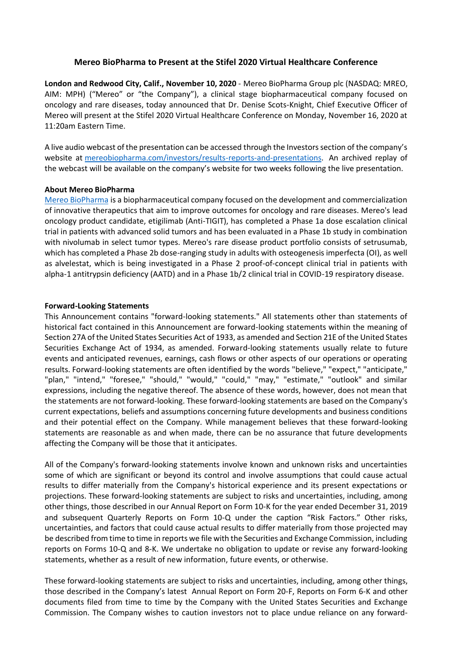## **Mereo BioPharma to Present at the Stifel 2020 Virtual Healthcare Conference**

**London and Redwood City, Calif., November 10, 2020** - Mereo BioPharma Group plc (NASDAQ: MREO, AIM: MPH) ("Mereo" or "the Company"), a clinical stage biopharmaceutical company focused on oncology and rare diseases, today announced that Dr. Denise Scots-Knight, Chief Executive Officer of Mereo will present at the Stifel 2020 Virtual Healthcare Conference on Monday, November 16, 2020 at 11:20am Eastern Time.

A live audio webcast of the presentation can be accessed through the Investors section of the company's website at [mereobiopharma.com/investors/results-reports-and-presentations.](https://www.mereobiopharma.com/investors/results-reports-and-presentations/?year=2019/) An archived replay of the webcast will be available on the company's website for two weeks following the live presentation.

## **About Mereo BioPharma**

[Mereo BioPharma](https://www.mereobiopharma.com/) is a biopharmaceutical company focused on the development and commercialization of innovative therapeutics that aim to improve outcomes for oncology and rare diseases. Mereo's lead oncology product candidate, etigilimab (Anti-TIGIT), has completed a Phase 1a dose escalation clinical trial in patients with advanced solid tumors and has been evaluated in a Phase 1b study in combination with nivolumab in select tumor types. Mereo's rare disease product portfolio consists of setrusumab, which has completed a Phase 2b dose-ranging study in adults with osteogenesis imperfecta (OI), as well as alvelestat, which is being investigated in a Phase 2 proof-of-concept clinical trial in patients with alpha-1 antitrypsin deficiency (AATD) and in a Phase 1b/2 clinical trial in COVID-19 respiratory disease.

## **Forward-Looking Statements**

This Announcement contains "forward-looking statements." All statements other than statements of historical fact contained in this Announcement are forward-looking statements within the meaning of Section 27A of the United States Securities Act of 1933, as amended and Section 21E of the United States Securities Exchange Act of 1934, as amended. Forward-looking statements usually relate to future events and anticipated revenues, earnings, cash flows or other aspects of our operations or operating results. Forward-looking statements are often identified by the words "believe," "expect," "anticipate," "plan," "intend," "foresee," "should," "would," "could," "may," "estimate," "outlook" and similar expressions, including the negative thereof. The absence of these words, however, does not mean that the statements are not forward-looking. These forward-looking statements are based on the Company's current expectations, beliefs and assumptions concerning future developments and business conditions and their potential effect on the Company. While management believes that these forward-looking statements are reasonable as and when made, there can be no assurance that future developments affecting the Company will be those that it anticipates.

All of the Company's forward-looking statements involve known and unknown risks and uncertainties some of which are significant or beyond its control and involve assumptions that could cause actual results to differ materially from the Company's historical experience and its present expectations or projections. These forward-looking statements are subject to risks and uncertainties, including, among other things, those described in our Annual Report on Form 10-K for the year ended December 31, 2019 and subsequent Quarterly Reports on Form 10-Q under the caption "Risk Factors." Other risks, uncertainties, and factors that could cause actual results to differ materially from those projected may be described from time to time in reports we file with the Securities and Exchange Commission, including reports on Forms 10-Q and 8-K. We undertake no obligation to update or revise any forward-looking statements, whether as a result of new information, future events, or otherwise.

These forward-looking statements are subject to risks and uncertainties, including, among other things, those described in the Company's latest Annual Report on Form 20-F, Reports on Form 6-K and other documents filed from time to time by the Company with the United States Securities and Exchange Commission. The Company wishes to caution investors not to place undue reliance on any forward